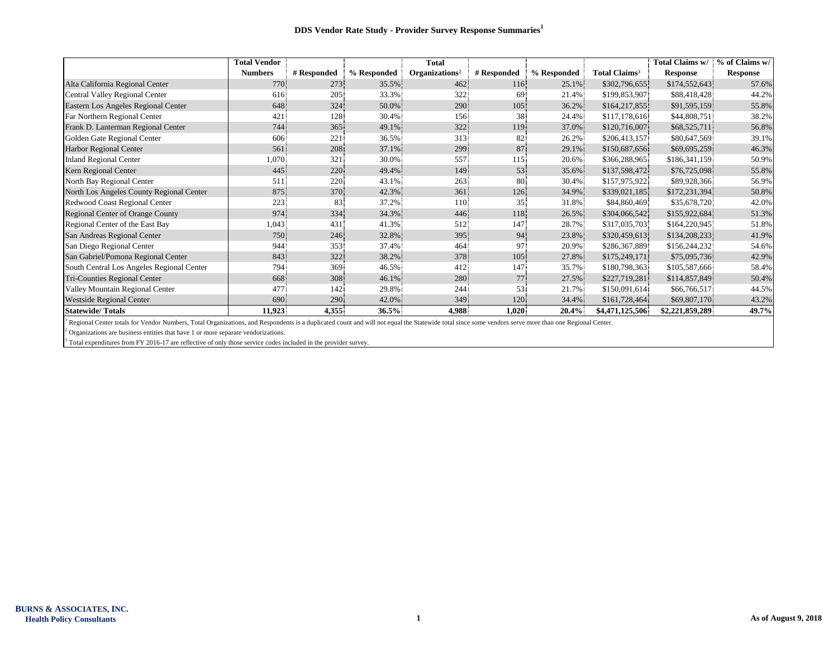|                                           | <b>Total Vendor</b> |             |             | <b>Total</b>               |             |             |                           | <b>Total Claims w/</b> | % of Claims w/  |
|-------------------------------------------|---------------------|-------------|-------------|----------------------------|-------------|-------------|---------------------------|------------------------|-----------------|
|                                           | <b>Numbers</b>      | # Responded | % Responded | Organizations <sup>2</sup> | # Responded | % Responded | Total Claims <sup>3</sup> | <b>Response</b>        | <b>Response</b> |
| Alta California Regional Center           | 770                 | 273         | 35.5%       | 462                        | 116         | 25.1%       | \$302,796,655             | \$174,552,643          | 57.6%           |
| Central Valley Regional Center            | 616                 | 205         | 33.3%       | 322                        | 69.         | 21.4%       | \$199,853,907             | \$88,418,428           | 44.2%           |
| Eastern Los Angeles Regional Center       | 648                 | 324         | 50.0%       | 290                        | 105         | 36.2%       | \$164,217,855             | \$91,595,159           | 55.8%           |
| Far Northern Regional Center              | 421                 | 128         | 30.4%       | 156                        | 38          | 24.4%       | \$117,178,616             | \$44,808,751           | 38.2%           |
| Frank D. Lanterman Regional Center        | 744                 | 365         | 49.1%       | 322                        | 119         | 37.0%       | \$120,716,007             | \$68,525,711           | 56.8%           |
| Golden Gate Regional Center               | 606                 | 221         | 36.5%       | 313                        | 82          | 26.2%       | \$206,413,157             | \$80,647,569           | 39.1%           |
| <b>Harbor Regional Center</b>             | 561                 | 208         | 37.1%       | 299                        | 87          | 29.1%       | \$150,687,656             | \$69,695,259           | 46.3%           |
| <b>Inland Regional Center</b>             | 1,070               | 321         | 30.0%       | 557                        | 115         | 20.6%       | \$366,288,965             | \$186,341,159          | 50.9%           |
| Kern Regional Center                      | 445                 | 220         | 49.4%       | 149                        | 53          | 35.6%       | \$137,598,472             | \$76,725,098           | 55.8%           |
| North Bay Regional Center                 | 511                 | 220         | 43.1%       | 263                        | 80          | 30.4%       | \$157,975,922             | \$89,928,366           | 56.9%           |
| North Los Angeles County Regional Center  | 875.                | 370         | 42.3%       | 361                        | 126         | 34.9%       | \$339,021,185             | \$172,231,394          | 50.8%           |
| Redwood Coast Regional Center             | 223                 | 83          | 37.2%       | 110                        | 35          | 31.8%       | \$84,860,469              | \$35,678,720           | 42.0%           |
| Regional Center of Orange County          | 974                 | 334         | 34.3%       | 446                        | 118         | 26.5%       | \$304,066,542             | \$155,922,684          | 51.3%           |
| Regional Center of the East Bay           | 1,043               | 431         | 41.3%       | 512                        | 147         | 28.7%       | \$317,035,703             | \$164,220,945          | 51.8%           |
| San Andreas Regional Center               | 750                 | 246         | 32.8%       | 395                        | 94.         | 23.8%       | \$320,459,613             | \$134,208,233          | 41.9%           |
| San Diego Regional Center                 | 944                 | 353         | 37.4%       | 464                        | 97          | 20.9%       | \$286,367,889             | \$156,244,232          | 54.6%           |
| San Gabriel/Pomona Regional Center        | 843                 | 322         | 38.2%       | 378                        | 105         | 27.8%       | \$175,249,171             | \$75,095,736           | 42.9%           |
| South Central Los Angeles Regional Center | 794                 | 369         | 46.5%       | 412                        | 147         | 35.7%       | \$180,798,363             | \$105,587,666          | 58.4%           |
| Tri-Counties Regional Center              | 668                 | 308         | 46.1%       | 280                        | 77          | 27.5%       | \$227,719,281             | \$114,857,849          | 50.4%           |
| Valley Mountain Regional Center           | 477                 | 142         | 29.8%       | 244                        | 53          | 21.7%       | \$150,091,614             | \$66,766,517           | 44.5%           |
| <b>Westside Regional Center</b>           | 690                 | 290         | 42.0%       | 349                        | 120         | 34.4%       | \$161,728,464             | \$69,807,170           | 43.2%           |
| <b>Statewide/Totals</b>                   | 11,923              | 4,355       | $36.5\%$    | 4,988                      | 1,020       | $20.4\%$    | \$4,471,125,506           | \$2,221,859,289        | 49.7%           |

<sup>1</sup> Regional Center totals for Vendor Numbers, Total Organizations, and Respondents is a duplicated count and will not equal the Statewide total since some vendors serve more than one Regional Center.

 $2$  Organizations are business entities that have 1 or more separate vendorizations.

<sup>3</sup> Total expenditures from FY 2016-17 are reflective of only those service codes included in the provider survey.